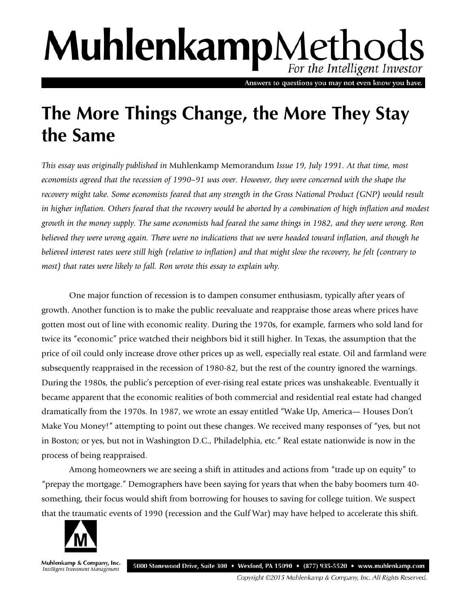## MuhlenkampMethods For the Intelligent Investor

Answers to questions you may not even know you have.

## **The More Things Change, the More They Stay the Same**

*This essay was originally published in* Muhlenkamp Memorandum *Issue 19, July 1991. At that time, most economists agreed that the recession of 1990–91 was over. However, they were concerned with the shape the recovery might take. Some economists feared that any strength in the Gross National Product (GNP) would result* in higher inflation. Others feared that the recovery would be aborted by a combination of high inflation and modest *growth in the money supply. The same economists had feared the same things in 1982, and they were wrong. Ron believed they were wrong again. There were no indications that we were headed toward inflation, and though he believed interest rates were still high (relative to inflation) and that might slow the recovery, he felt (contrary to most) that rates were likely to fall. Ron wrote this essay to explain why.* 

One major function of recession is to dampen consumer enthusiasm, typically after years of growth. Another function is to make the public reevaluate and reappraise those areas where prices have gotten most out of line with economic reality. During the 1970s, for example, farmers who sold land for twice its "economic" price watched their neighbors bid it still higher. In Texas, the assumption that the price of oil could only increase drove other prices up as well, especially real estate. Oil and farmland were subsequently reappraised in the recession of 1980-82, but the rest of the country ignored the warnings. During the 1980s, the public's perception of ever-rising real estate prices was unshakeable. Eventually it became apparent that the economic realities of both commercial and residential real estate had changed dramatically from the 1970s. In 1987, we wrote an essay entitled "Wake Up, America— Houses Don't Make You Money!" attempting to point out these changes. We received many responses of "yes, but not in Boston; or yes, but not in Washington D.C., Philadelphia, etc." Real estate nationwide is now in the process of being reappraised.

Among homeowners we are seeing a shift in attitudes and actions from "trade up on equity" to "prepay the mortgage." Demographers have been saying for years that when the baby boomers turn 40 something, their focus would shift from borrowing for houses to saving for college tuition. We suspect that the traumatic events of 1990 (recession and the Gulf War) may have helped to accelerate this shift.



Muhlenkamp & Company, Inc. 5000 Stonewood Drive, Suite 300 • Wexford, PA 15090 • (877) 935-5520 • www.muhlenkamp.com Intelligent Investment Management

Copyright ©2015 Muhlenkamp & Company, Inc. All Rights Reserved.